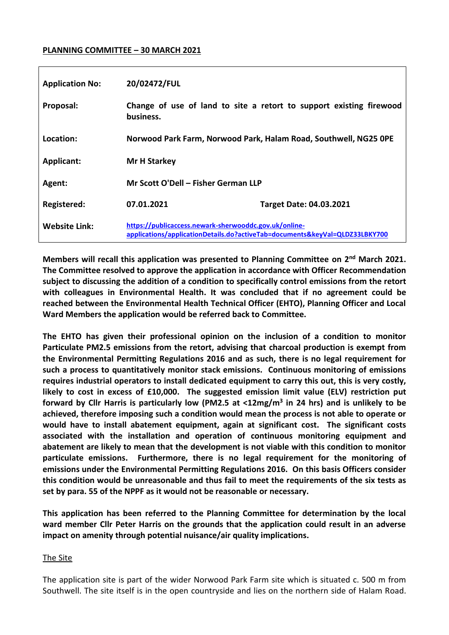#### **PLANNING COMMITTEE – 30 MARCH 2021**

| <b>Application No:</b> | 20/02472/FUL                                                                                                                         |                                                                     |
|------------------------|--------------------------------------------------------------------------------------------------------------------------------------|---------------------------------------------------------------------|
| Proposal:              | business.                                                                                                                            | Change of use of land to site a retort to support existing firewood |
| Location:              | Norwood Park Farm, Norwood Park, Halam Road, Southwell, NG25 0PE                                                                     |                                                                     |
| Applicant:             | <b>Mr H Starkey</b>                                                                                                                  |                                                                     |
| Agent:                 | Mr Scott O'Dell - Fisher German LLP                                                                                                  |                                                                     |
| Registered:            | 07.01.2021                                                                                                                           | <b>Target Date: 04.03.2021</b>                                      |
| <b>Website Link:</b>   | https://publicaccess.newark-sherwooddc.gov.uk/online-<br>applications/applicationDetails.do?activeTab=documents&keyVal=QLDZ33LBKY700 |                                                                     |

**Members will recall this application was presented to Planning Committee on 2nd March 2021. The Committee resolved to approve the application in accordance with Officer Recommendation subject to discussing the addition of a condition to specifically control emissions from the retort with colleagues in Environmental Health. It was concluded that if no agreement could be reached between the Environmental Health Technical Officer (EHTO), Planning Officer and Local Ward Members the application would be referred back to Committee.**

**The EHTO has given their professional opinion on the inclusion of a condition to monitor Particulate PM2.5 emissions from the retort, advising that charcoal production is exempt from the Environmental Permitting Regulations 2016 and as such, there is no legal requirement for such a process to quantitatively monitor stack emissions. Continuous monitoring of emissions requires industrial operators to install dedicated equipment to carry this out, this is very costly, likely to cost in excess of £10,000. The suggested emission limit value (ELV) restriction put forward by Cllr Harris is particularly low (PM2.5 at <12mg/m<sup>3</sup> in 24 hrs) and is unlikely to be achieved, therefore imposing such a condition would mean the process is not able to operate or would have to install abatement equipment, again at significant cost. The significant costs associated with the installation and operation of continuous monitoring equipment and abatement are likely to mean that the development is not viable with this condition to monitor particulate emissions. Furthermore, there is no legal requirement for the monitoring of emissions under the Environmental Permitting Regulations 2016. On this basis Officers consider this condition would be unreasonable and thus fail to meet the requirements of the six tests as set by para. 55 of the NPPF as it would not be reasonable or necessary.**

**This application has been referred to the Planning Committee for determination by the local ward member Cllr Peter Harris on the grounds that the application could result in an adverse impact on amenity through potential nuisance/air quality implications.** 

#### The Site

The application site is part of the wider Norwood Park Farm site which is situated c. 500 m from Southwell. The site itself is in the open countryside and lies on the northern side of Halam Road.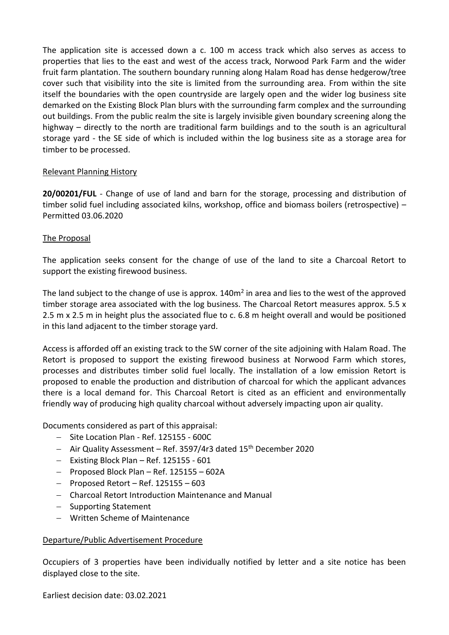The application site is accessed down a c. 100 m access track which also serves as access to properties that lies to the east and west of the access track, Norwood Park Farm and the wider fruit farm plantation. The southern boundary running along Halam Road has dense hedgerow/tree cover such that visibility into the site is limited from the surrounding area. From within the site itself the boundaries with the open countryside are largely open and the wider log business site demarked on the Existing Block Plan blurs with the surrounding farm complex and the surrounding out buildings. From the public realm the site is largely invisible given boundary screening along the highway – directly to the north are traditional farm buildings and to the south is an agricultural storage yard - the SE side of which is included within the log business site as a storage area for timber to be processed.

#### Relevant Planning History

**20/00201/FUL** - Change of use of land and barn for the storage, processing and distribution of timber solid fuel including associated kilns, workshop, office and biomass boilers (retrospective) – Permitted 03.06.2020

### The Proposal

The application seeks consent for the change of use of the land to site a Charcoal Retort to support the existing firewood business.

The land subject to the change of use is approx. 140m<sup>2</sup> in area and lies to the west of the approved timber storage area associated with the log business. The Charcoal Retort measures approx. 5.5 x 2.5 m x 2.5 m in height plus the associated flue to c. 6.8 m height overall and would be positioned in this land adjacent to the timber storage yard.

Access is afforded off an existing track to the SW corner of the site adjoining with Halam Road. The Retort is proposed to support the existing firewood business at Norwood Farm which stores, processes and distributes timber solid fuel locally. The installation of a low emission Retort is proposed to enable the production and distribution of charcoal for which the applicant advances there is a local demand for. This Charcoal Retort is cited as an efficient and environmentally friendly way of producing high quality charcoal without adversely impacting upon air quality.

Documents considered as part of this appraisal:

- Site Location Plan Ref. 125155 600C
- $-$  Air Quality Assessment Ref. 3597/4r3 dated 15<sup>th</sup> December 2020
- $-$  Existing Block Plan Ref. 125155 601
- $-$  Proposed Block Plan Ref. 125155 602A
- $-$  Proposed Retort Ref. 125155 603
- Charcoal Retort Introduction Maintenance and Manual
- Supporting Statement
- Written Scheme of Maintenance

#### Departure/Public Advertisement Procedure

Occupiers of 3 properties have been individually notified by letter and a site notice has been displayed close to the site.

Earliest decision date: 03.02.2021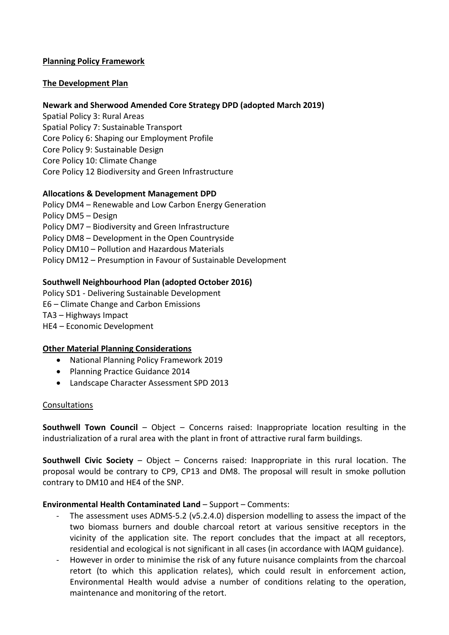### **Planning Policy Framework**

### **The Development Plan**

#### **Newark and Sherwood Amended Core Strategy DPD (adopted March 2019)**

Spatial Policy 3: Rural Areas Spatial Policy 7: Sustainable Transport Core Policy 6: Shaping our Employment Profile Core Policy 9: Sustainable Design Core Policy 10: Climate Change Core Policy 12 Biodiversity and Green Infrastructure

#### **Allocations & Development Management DPD**

Policy DM4 – Renewable and Low Carbon Energy Generation Policy DM5 – Design Policy DM7 – Biodiversity and Green Infrastructure Policy DM8 – Development in the Open Countryside Policy DM10 – Pollution and Hazardous Materials Policy DM12 – Presumption in Favour of Sustainable Development

### **Southwell Neighbourhood Plan (adopted October 2016)**

Policy SD1 - Delivering Sustainable Development E6 – Climate Change and Carbon Emissions TA3 – Highways Impact HE4 – Economic Development

#### **Other Material Planning Considerations**

- National Planning Policy Framework 2019
- Planning Practice Guidance 2014
- Landscape Character Assessment SPD 2013

#### **Consultations**

**Southwell Town Council** – Object – Concerns raised: Inappropriate location resulting in the industrialization of a rural area with the plant in front of attractive rural farm buildings.

**Southwell Civic Society** – Object – Concerns raised: Inappropriate in this rural location. The proposal would be contrary to CP9, CP13 and DM8. The proposal will result in smoke pollution contrary to DM10 and HE4 of the SNP.

#### **Environmental Health Contaminated Land** – Support – Comments:

- The assessment uses ADMS-5.2 (v5.2.4.0) dispersion modelling to assess the impact of the two biomass burners and double charcoal retort at various sensitive receptors in the vicinity of the application site. The report concludes that the impact at all receptors, residential and ecological is not significant in all cases (in accordance with IAQM guidance).
- However in order to minimise the risk of any future nuisance complaints from the charcoal retort (to which this application relates), which could result in enforcement action, Environmental Health would advise a number of conditions relating to the operation, maintenance and monitoring of the retort.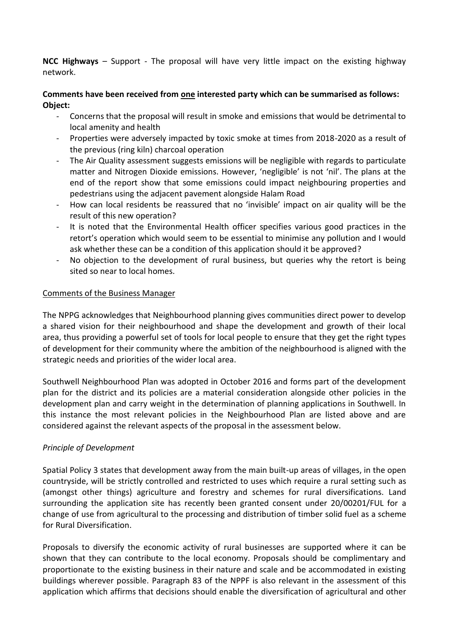**NCC Highways** – Support - The proposal will have very little impact on the existing highway network.

## **Comments have been received from one interested party which can be summarised as follows: Object:**

- Concerns that the proposal will result in smoke and emissions that would be detrimental to local amenity and health
- Properties were adversely impacted by toxic smoke at times from 2018-2020 as a result of the previous (ring kiln) charcoal operation
- The Air Quality assessment suggests emissions will be negligible with regards to particulate matter and Nitrogen Dioxide emissions. However, 'negligible' is not 'nil'. The plans at the end of the report show that some emissions could impact neighbouring properties and pedestrians using the adjacent pavement alongside Halam Road
- How can local residents be reassured that no 'invisible' impact on air quality will be the result of this new operation?
- It is noted that the Environmental Health officer specifies various good practices in the retort's operation which would seem to be essential to minimise any pollution and I would ask whether these can be a condition of this application should it be approved?
- No objection to the development of rural business, but queries why the retort is being sited so near to local homes.

### Comments of the Business Manager

The NPPG acknowledges that Neighbourhood planning gives communities direct power to develop a shared vision for their neighbourhood and shape the development and growth of their local area, thus providing a powerful set of tools for local people to ensure that they get the right types of development for their community where the ambition of the neighbourhood is aligned with the strategic needs and priorities of the wider local area.

Southwell Neighbourhood Plan was adopted in October 2016 and forms part of the development plan for the district and its policies are a material consideration alongside other policies in the development plan and carry weight in the determination of planning applications in Southwell. In this instance the most relevant policies in the Neighbourhood Plan are listed above and are considered against the relevant aspects of the proposal in the assessment below.

## *Principle of Development*

Spatial Policy 3 states that development away from the main built-up areas of villages, in the open countryside, will be strictly controlled and restricted to uses which require a rural setting such as (amongst other things) agriculture and forestry and schemes for rural diversifications. Land surrounding the application site has recently been granted consent under 20/00201/FUL for a change of use from agricultural to the processing and distribution of timber solid fuel as a scheme for Rural Diversification.

Proposals to diversify the economic activity of rural businesses are supported where it can be shown that they can contribute to the local economy. Proposals should be complimentary and proportionate to the existing business in their nature and scale and be accommodated in existing buildings wherever possible. Paragraph 83 of the NPPF is also relevant in the assessment of this application which affirms that decisions should enable the diversification of agricultural and other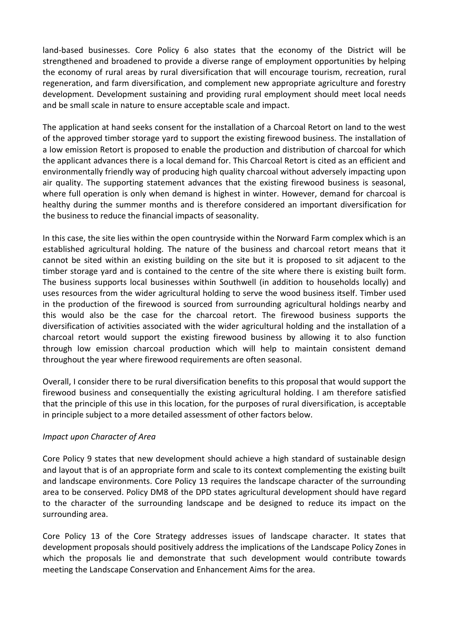land-based businesses. Core Policy 6 also states that the economy of the District will be strengthened and broadened to provide a diverse range of employment opportunities by helping the economy of rural areas by rural diversification that will encourage tourism, recreation, rural regeneration, and farm diversification, and complement new appropriate agriculture and forestry development. Development sustaining and providing rural employment should meet local needs and be small scale in nature to ensure acceptable scale and impact.

The application at hand seeks consent for the installation of a Charcoal Retort on land to the west of the approved timber storage yard to support the existing firewood business. The installation of a low emission Retort is proposed to enable the production and distribution of charcoal for which the applicant advances there is a local demand for. This Charcoal Retort is cited as an efficient and environmentally friendly way of producing high quality charcoal without adversely impacting upon air quality. The supporting statement advances that the existing firewood business is seasonal, where full operation is only when demand is highest in winter. However, demand for charcoal is healthy during the summer months and is therefore considered an important diversification for the business to reduce the financial impacts of seasonality.

In this case, the site lies within the open countryside within the Norward Farm complex which is an established agricultural holding. The nature of the business and charcoal retort means that it cannot be sited within an existing building on the site but it is proposed to sit adjacent to the timber storage yard and is contained to the centre of the site where there is existing built form. The business supports local businesses within Southwell (in addition to households locally) and uses resources from the wider agricultural holding to serve the wood business itself. Timber used in the production of the firewood is sourced from surrounding agricultural holdings nearby and this would also be the case for the charcoal retort. The firewood business supports the diversification of activities associated with the wider agricultural holding and the installation of a charcoal retort would support the existing firewood business by allowing it to also function through low emission charcoal production which will help to maintain consistent demand throughout the year where firewood requirements are often seasonal.

Overall, I consider there to be rural diversification benefits to this proposal that would support the firewood business and consequentially the existing agricultural holding. I am therefore satisfied that the principle of this use in this location, for the purposes of rural diversification, is acceptable in principle subject to a more detailed assessment of other factors below.

#### *Impact upon Character of Area*

Core Policy 9 states that new development should achieve a high standard of sustainable design and layout that is of an appropriate form and scale to its context complementing the existing built and landscape environments. Core Policy 13 requires the landscape character of the surrounding area to be conserved. Policy DM8 of the DPD states agricultural development should have regard to the character of the surrounding landscape and be designed to reduce its impact on the surrounding area.

Core Policy 13 of the Core Strategy addresses issues of landscape character. It states that development proposals should positively address the implications of the Landscape Policy Zones in which the proposals lie and demonstrate that such development would contribute towards meeting the Landscape Conservation and Enhancement Aims for the area.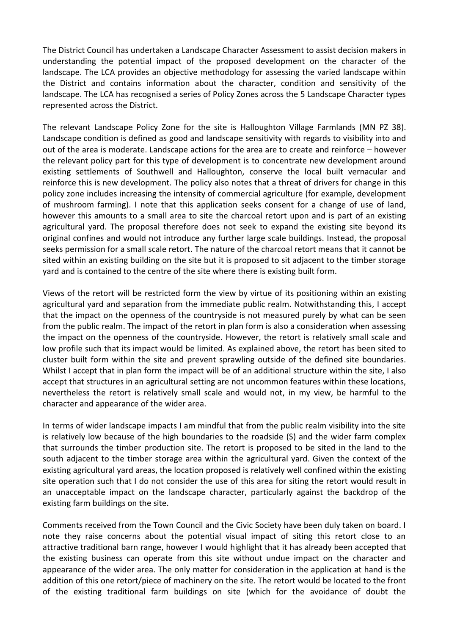The District Council has undertaken a Landscape Character Assessment to assist decision makers in understanding the potential impact of the proposed development on the character of the landscape. The LCA provides an objective methodology for assessing the varied landscape within the District and contains information about the character, condition and sensitivity of the landscape. The LCA has recognised a series of Policy Zones across the 5 Landscape Character types represented across the District.

The relevant Landscape Policy Zone for the site is Halloughton Village Farmlands (MN PZ 38). Landscape condition is defined as good and landscape sensitivity with regards to visibility into and out of the area is moderate. Landscape actions for the area are to create and reinforce – however the relevant policy part for this type of development is to concentrate new development around existing settlements of Southwell and Halloughton, conserve the local built vernacular and reinforce this is new development. The policy also notes that a threat of drivers for change in this policy zone includes increasing the intensity of commercial agriculture (for example, development of mushroom farming). I note that this application seeks consent for a change of use of land, however this amounts to a small area to site the charcoal retort upon and is part of an existing agricultural yard. The proposal therefore does not seek to expand the existing site beyond its original confines and would not introduce any further large scale buildings. Instead, the proposal seeks permission for a small scale retort. The nature of the charcoal retort means that it cannot be sited within an existing building on the site but it is proposed to sit adjacent to the timber storage yard and is contained to the centre of the site where there is existing built form.

Views of the retort will be restricted form the view by virtue of its positioning within an existing agricultural yard and separation from the immediate public realm. Notwithstanding this, I accept that the impact on the openness of the countryside is not measured purely by what can be seen from the public realm. The impact of the retort in plan form is also a consideration when assessing the impact on the openness of the countryside. However, the retort is relatively small scale and low profile such that its impact would be limited. As explained above, the retort has been sited to cluster built form within the site and prevent sprawling outside of the defined site boundaries. Whilst I accept that in plan form the impact will be of an additional structure within the site, I also accept that structures in an agricultural setting are not uncommon features within these locations, nevertheless the retort is relatively small scale and would not, in my view, be harmful to the character and appearance of the wider area.

In terms of wider landscape impacts I am mindful that from the public realm visibility into the site is relatively low because of the high boundaries to the roadside (S) and the wider farm complex that surrounds the timber production site. The retort is proposed to be sited in the land to the south adjacent to the timber storage area within the agricultural yard. Given the context of the existing agricultural yard areas, the location proposed is relatively well confined within the existing site operation such that I do not consider the use of this area for siting the retort would result in an unacceptable impact on the landscape character, particularly against the backdrop of the existing farm buildings on the site.

Comments received from the Town Council and the Civic Society have been duly taken on board. I note they raise concerns about the potential visual impact of siting this retort close to an attractive traditional barn range, however I would highlight that it has already been accepted that the existing business can operate from this site without undue impact on the character and appearance of the wider area. The only matter for consideration in the application at hand is the addition of this one retort/piece of machinery on the site. The retort would be located to the front of the existing traditional farm buildings on site (which for the avoidance of doubt the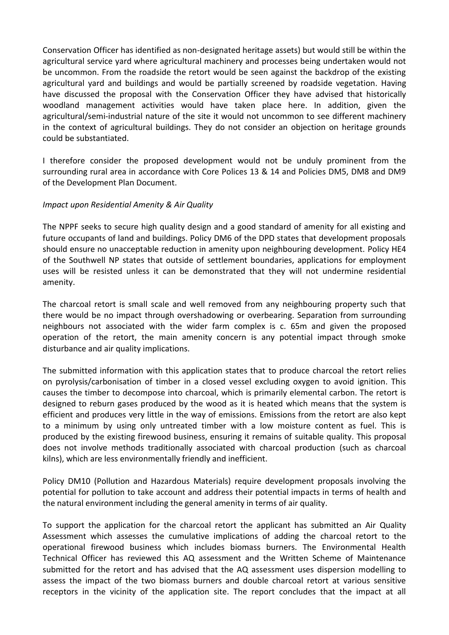Conservation Officer has identified as non-designated heritage assets) but would still be within the agricultural service yard where agricultural machinery and processes being undertaken would not be uncommon. From the roadside the retort would be seen against the backdrop of the existing agricultural yard and buildings and would be partially screened by roadside vegetation. Having have discussed the proposal with the Conservation Officer they have advised that historically woodland management activities would have taken place here. In addition, given the agricultural/semi-industrial nature of the site it would not uncommon to see different machinery in the context of agricultural buildings. They do not consider an objection on heritage grounds could be substantiated.

I therefore consider the proposed development would not be unduly prominent from the surrounding rural area in accordance with Core Polices 13 & 14 and Policies DM5, DM8 and DM9 of the Development Plan Document.

### *Impact upon Residential Amenity & Air Quality*

The NPPF seeks to secure high quality design and a good standard of amenity for all existing and future occupants of land and buildings. Policy DM6 of the DPD states that development proposals should ensure no unacceptable reduction in amenity upon neighbouring development. Policy HE4 of the Southwell NP states that outside of settlement boundaries, applications for employment uses will be resisted unless it can be demonstrated that they will not undermine residential amenity.

The charcoal retort is small scale and well removed from any neighbouring property such that there would be no impact through overshadowing or overbearing. Separation from surrounding neighbours not associated with the wider farm complex is c. 65m and given the proposed operation of the retort, the main amenity concern is any potential impact through smoke disturbance and air quality implications.

The submitted information with this application states that to produce charcoal the retort relies on pyrolysis/carbonisation of timber in a closed vessel excluding oxygen to avoid ignition. This causes the timber to decompose into charcoal, which is primarily elemental carbon. The retort is designed to reburn gases produced by the wood as it is heated which means that the system is efficient and produces very little in the way of emissions. Emissions from the retort are also kept to a minimum by using only untreated timber with a low moisture content as fuel. This is produced by the existing firewood business, ensuring it remains of suitable quality. This proposal does not involve methods traditionally associated with charcoal production (such as charcoal kilns), which are less environmentally friendly and inefficient.

Policy DM10 (Pollution and Hazardous Materials) require development proposals involving the potential for pollution to take account and address their potential impacts in terms of health and the natural environment including the general amenity in terms of air quality.

To support the application for the charcoal retort the applicant has submitted an Air Quality Assessment which assesses the cumulative implications of adding the charcoal retort to the operational firewood business which includes biomass burners. The Environmental Health Technical Officer has reviewed this AQ assessment and the Written Scheme of Maintenance submitted for the retort and has advised that the AQ assessment uses dispersion modelling to assess the impact of the two biomass burners and double charcoal retort at various sensitive receptors in the vicinity of the application site. The report concludes that the impact at all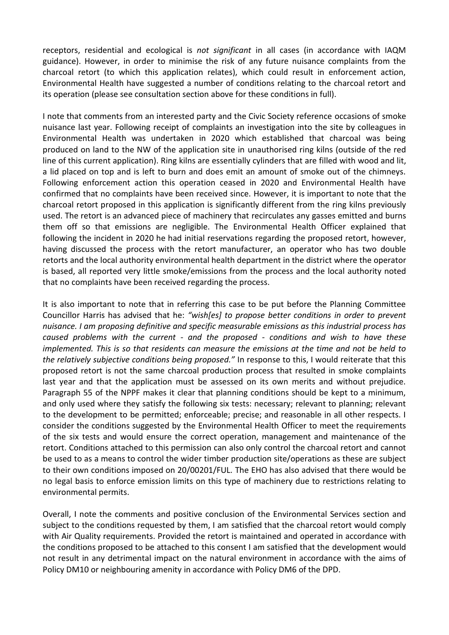receptors, residential and ecological is *not significant* in all cases (in accordance with IAQM guidance). However, in order to minimise the risk of any future nuisance complaints from the charcoal retort (to which this application relates), which could result in enforcement action, Environmental Health have suggested a number of conditions relating to the charcoal retort and its operation (please see consultation section above for these conditions in full).

I note that comments from an interested party and the Civic Society reference occasions of smoke nuisance last year. Following receipt of complaints an investigation into the site by colleagues in Environmental Health was undertaken in 2020 which established that charcoal was being produced on land to the NW of the application site in unauthorised ring kilns (outside of the red line of this current application). Ring kilns are essentially cylinders that are filled with wood and lit, a lid placed on top and is left to burn and does emit an amount of smoke out of the chimneys. Following enforcement action this operation ceased in 2020 and Environmental Health have confirmed that no complaints have been received since. However, it is important to note that the charcoal retort proposed in this application is significantly different from the ring kilns previously used. The retort is an advanced piece of machinery that recirculates any gasses emitted and burns them off so that emissions are negligible. The Environmental Health Officer explained that following the incident in 2020 he had initial reservations regarding the proposed retort, however, having discussed the process with the retort manufacturer, an operator who has two double retorts and the local authority environmental health department in the district where the operator is based, all reported very little smoke/emissions from the process and the local authority noted that no complaints have been received regarding the process.

It is also important to note that in referring this case to be put before the Planning Committee Councillor Harris has advised that he: *"wish[es] to propose better conditions in order to prevent nuisance. I am proposing definitive and specific measurable emissions as this industrial process has caused problems with the current - and the proposed - conditions and wish to have these implemented. This is so that residents can measure the emissions at the time and not be held to the relatively subjective conditions being proposed."* In response to this, I would reiterate that this proposed retort is not the same charcoal production process that resulted in smoke complaints last year and that the application must be assessed on its own merits and without prejudice. Paragraph 55 of the NPPF makes it clear that planning conditions should be kept to a minimum, and only used where they satisfy the following six tests: necessary; relevant to planning; relevant to the development to be permitted; enforceable; precise; and reasonable in all other respects. I consider the conditions suggested by the Environmental Health Officer to meet the requirements of the six tests and would ensure the correct operation, management and maintenance of the retort. Conditions attached to this permission can also only control the charcoal retort and cannot be used to as a means to control the wider timber production site/operations as these are subject to their own conditions imposed on 20/00201/FUL. The EHO has also advised that there would be no legal basis to enforce emission limits on this type of machinery due to restrictions relating to environmental permits.

Overall, I note the comments and positive conclusion of the Environmental Services section and subject to the conditions requested by them, I am satisfied that the charcoal retort would comply with Air Quality requirements. Provided the retort is maintained and operated in accordance with the conditions proposed to be attached to this consent I am satisfied that the development would not result in any detrimental impact on the natural environment in accordance with the aims of Policy DM10 or neighbouring amenity in accordance with Policy DM6 of the DPD.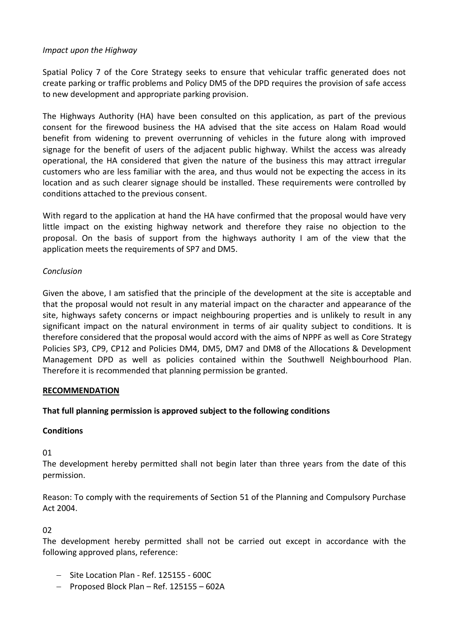## *Impact upon the Highway*

Spatial Policy 7 of the Core Strategy seeks to ensure that vehicular traffic generated does not create parking or traffic problems and Policy DM5 of the DPD requires the provision of safe access to new development and appropriate parking provision.

The Highways Authority (HA) have been consulted on this application, as part of the previous consent for the firewood business the HA advised that the site access on Halam Road would benefit from widening to prevent overrunning of vehicles in the future along with improved signage for the benefit of users of the adjacent public highway. Whilst the access was already operational, the HA considered that given the nature of the business this may attract irregular customers who are less familiar with the area, and thus would not be expecting the access in its location and as such clearer signage should be installed. These requirements were controlled by conditions attached to the previous consent.

With regard to the application at hand the HA have confirmed that the proposal would have very little impact on the existing highway network and therefore they raise no objection to the proposal. On the basis of support from the highways authority I am of the view that the application meets the requirements of SP7 and DM5.

### *Conclusion*

Given the above, I am satisfied that the principle of the development at the site is acceptable and that the proposal would not result in any material impact on the character and appearance of the site, highways safety concerns or impact neighbouring properties and is unlikely to result in any significant impact on the natural environment in terms of air quality subject to conditions. It is therefore considered that the proposal would accord with the aims of NPPF as well as Core Strategy Policies SP3, CP9, CP12 and Policies DM4, DM5, DM7 and DM8 of the Allocations & Development Management DPD as well as policies contained within the Southwell Neighbourhood Plan. Therefore it is recommended that planning permission be granted.

#### **RECOMMENDATION**

## **That full planning permission is approved subject to the following conditions**

#### **Conditions**

01

The development hereby permitted shall not begin later than three years from the date of this permission.

Reason: To comply with the requirements of Section 51 of the Planning and Compulsory Purchase Act 2004.

## 02

The development hereby permitted shall not be carried out except in accordance with the following approved plans, reference:

- Site Location Plan Ref. 125155 600C
- Proposed Block Plan Ref. 125155 602A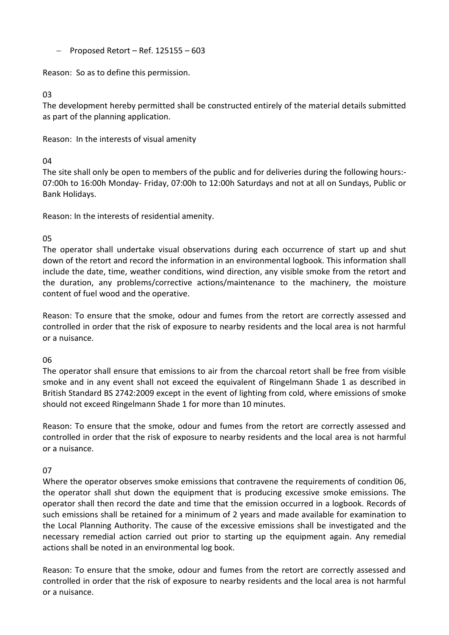$-$  Proposed Retort – Ref. 125155 – 603

Reason: So as to define this permission.

### 03

The development hereby permitted shall be constructed entirely of the material details submitted as part of the planning application.

Reason: In the interests of visual amenity

# 04

The site shall only be open to members of the public and for deliveries during the following hours:- 07:00h to 16:00h Monday- Friday, 07:00h to 12:00h Saturdays and not at all on Sundays, Public or Bank Holidays.

Reason: In the interests of residential amenity.

# 05

The operator shall undertake visual observations during each occurrence of start up and shut down of the retort and record the information in an environmental logbook. This information shall include the date, time, weather conditions, wind direction, any visible smoke from the retort and the duration, any problems/corrective actions/maintenance to the machinery, the moisture content of fuel wood and the operative.

Reason: To ensure that the smoke, odour and fumes from the retort are correctly assessed and controlled in order that the risk of exposure to nearby residents and the local area is not harmful or a nuisance.

## 06

The operator shall ensure that emissions to air from the charcoal retort shall be free from visible smoke and in any event shall not exceed the equivalent of Ringelmann Shade 1 as described in British Standard BS 2742:2009 except in the event of lighting from cold, where emissions of smoke should not exceed Ringelmann Shade 1 for more than 10 minutes.

Reason: To ensure that the smoke, odour and fumes from the retort are correctly assessed and controlled in order that the risk of exposure to nearby residents and the local area is not harmful or a nuisance.

## 07

Where the operator observes smoke emissions that contravene the requirements of condition 06, the operator shall shut down the equipment that is producing excessive smoke emissions. The operator shall then record the date and time that the emission occurred in a logbook. Records of such emissions shall be retained for a minimum of 2 years and made available for examination to the Local Planning Authority. The cause of the excessive emissions shall be investigated and the necessary remedial action carried out prior to starting up the equipment again. Any remedial actions shall be noted in an environmental log book.

Reason: To ensure that the smoke, odour and fumes from the retort are correctly assessed and controlled in order that the risk of exposure to nearby residents and the local area is not harmful or a nuisance.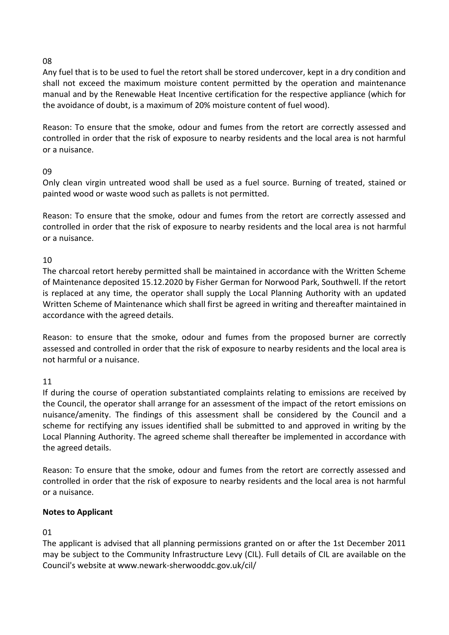### 08

Any fuel that is to be used to fuel the retort shall be stored undercover, kept in a dry condition and shall not exceed the maximum moisture content permitted by the operation and maintenance manual and by the Renewable Heat Incentive certification for the respective appliance (which for the avoidance of doubt, is a maximum of 20% moisture content of fuel wood).

Reason: To ensure that the smoke, odour and fumes from the retort are correctly assessed and controlled in order that the risk of exposure to nearby residents and the local area is not harmful or a nuisance.

## 09

Only clean virgin untreated wood shall be used as a fuel source. Burning of treated, stained or painted wood or waste wood such as pallets is not permitted.

Reason: To ensure that the smoke, odour and fumes from the retort are correctly assessed and controlled in order that the risk of exposure to nearby residents and the local area is not harmful or a nuisance.

10

The charcoal retort hereby permitted shall be maintained in accordance with the Written Scheme of Maintenance deposited 15.12.2020 by Fisher German for Norwood Park, Southwell. If the retort is replaced at any time, the operator shall supply the Local Planning Authority with an updated Written Scheme of Maintenance which shall first be agreed in writing and thereafter maintained in accordance with the agreed details.

Reason: to ensure that the smoke, odour and fumes from the proposed burner are correctly assessed and controlled in order that the risk of exposure to nearby residents and the local area is not harmful or a nuisance.

11

If during the course of operation substantiated complaints relating to emissions are received by the Council, the operator shall arrange for an assessment of the impact of the retort emissions on nuisance/amenity. The findings of this assessment shall be considered by the Council and a scheme for rectifying any issues identified shall be submitted to and approved in writing by the Local Planning Authority. The agreed scheme shall thereafter be implemented in accordance with the agreed details.

Reason: To ensure that the smoke, odour and fumes from the retort are correctly assessed and controlled in order that the risk of exposure to nearby residents and the local area is not harmful or a nuisance.

## **Notes to Applicant**

## 01

The applicant is advised that all planning permissions granted on or after the 1st December 2011 may be subject to the Community Infrastructure Levy (CIL). Full details of CIL are available on the Council's website at www.newark-sherwooddc.gov.uk/cil/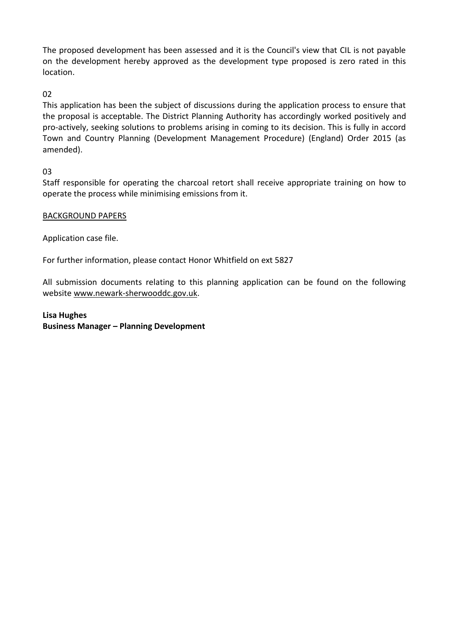The proposed development has been assessed and it is the Council's view that CIL is not payable on the development hereby approved as the development type proposed is zero rated in this location.

02

This application has been the subject of discussions during the application process to ensure that the proposal is acceptable. The District Planning Authority has accordingly worked positively and pro-actively, seeking solutions to problems arising in coming to its decision. This is fully in accord Town and Country Planning (Development Management Procedure) (England) Order 2015 (as amended).

03

Staff responsible for operating the charcoal retort shall receive appropriate training on how to operate the process while minimising emissions from it.

## BACKGROUND PAPERS

Application case file.

For further information, please contact Honor Whitfield on ext 5827

All submission documents relating to this planning application can be found on the following websit[e www.newark-sherwooddc.gov.uk.](http://www.newark-sherwooddc.gov.uk/)

**Lisa Hughes Business Manager – Planning Development**